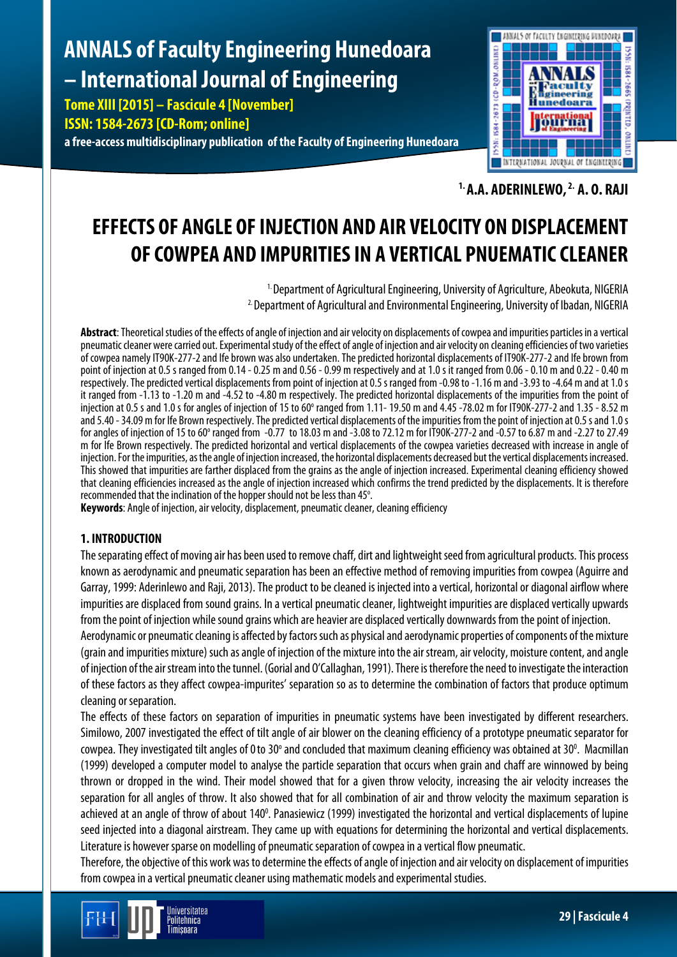# **ANNALS of Faculty Engineering Hunedoara – International Journal of Engineering**

**Tome XIII [2015] – Fascicule 4 [November] ISSN: 1584-2673 [CD-Rom; online] a free-access multidisciplinary publication of the Faculty of Engineering Hunedoara**



**1. A.A. ADERINLEWO, 2. A. O. RAJI**

## **EFFECTS OF ANGLE OF INJECTION AND AIR VELOCITY ON DISPLACEMENT OF COWPEA AND IMPURITIES IN A VERTICAL PNUEMATIC CLEANER**

<sup>1.</sup> Department of Agricultural Engineering, University of Agriculture, Abeokuta, NIGERIA <sup>2.</sup> Department of Agricultural and Environmental Engineering, University of Ibadan, NIGERIA

**Abstract**: Theoretical studies of the effects of angle of injection and air velocity on displacements of cowpea and impurities particlesin a vertical pneumatic cleaner were carried out. Experimental study of the effect of angle of injection and air velocity on cleaning efficiencies of two varieties of cowpea namely IT90K-277-2 and Ife brown was also undertaken. The predicted horizontal displacements of IT90K-277-2 and Ife brown from point of injection at 0.5 s ranged from 0.14 - 0.25 m and 0.56 - 0.99 m respectively and at 1.0 s it ranged from 0.06 - 0.10 m and 0.22 - 0.40 m respectively. The predicted vertical displacements from point of injection at 0.5 s ranged from -0.98 to -1.16 m and-3.93 to -4.64 m and at 1.0 s it ranged from -1.13 to -1.20 m and -4.52 to -4.80 m respectively. The predicted horizontal displacements of the impurities from the point of injection at 0.5 s and 1.0 s for angles of injection of 15 to 60 $^{\circ}$  ranged from 1.11-19.50 m and 4.45 -78.02 m for IT90K-277-2 and 1.35 - 8.52 m and 5.40 -34.09 m for Ife Brown respectively. The predicted vertical displacements of the impurities from the point of injection at 0.5s and 1.0 s for angles of injection of 15 to 60° ranged from -0.77 to 18.03 m and -3.08 to 72.12 m for IT90K-277-2 and -0.57 to 6.87 m and -2.27 to 27.49 m for Ife Brown respectively. The predicted horizontal and vertical displacements of the cowpea varieties decreased with increase in angle of injection. For the impurities, as the angle of injection increased, the horizontal displacements decreased but the vertical displacements increased. This showed that impurities are farther displaced from the grains as the angle of injection increased. Experimental cleaning efficiency showed that cleaning efficiencies increased as the angle of injection increased which confirms the trend predicted by the displacements. It is therefore recommended that the inclination of the hopper should not be less than 45°. .

**Keywords**: Angle of injection, air velocity, displacement, pneumatic cleaner, cleaning efficiency

#### **1. INTRODUCTION**

The separating effect of moving air has been used to remove chaff, dirt and lightweight seed from agricultural products. This process known as aerodynamic and pneumatic separation has been an effective method of removing impurities from cowpea (Aguirre and Garray, 1999: Aderinlewo and Raji, 2013). The product to be cleaned is injected into a vertical, horizontal or diagonal airflow where impurities are displaced from sound grains. In a vertical pneumatic cleaner, lightweight impurities are displaced vertically upwards from the point of injection while sound grains which are heavier are displaced vertically downwards from the point of injection.

Aerodynamic or pneumatic cleaning is affected by factors such as physical and aerodynamic properties of components of the mixture (grain and impurities mixture) such as angle of injection of the mixture into the air stream, air velocity, moisture content, and angle of injection of the air stream into the tunnel. (Gorial and O'Callaghan, 1991). There is therefore the need to investigate the interaction of these factors as they affect cowpea-impurites' separation so as to determine the combination of factors that produce optimum cleaning or separation.

The effects of these factors on separation of impurities in pneumatic systems have been investigated by different researchers. Similowo, 2007 investigated the effect of tilt angle of air blower on the cleaning efficiency of a prototype pneumatic separator for cowpea. They investigated tilt angles of 0 to 30° and concluded that maximum cleaning efficiency was obtained at 30°. Macmillan (1999) developed a computer model to analyse the particle separation that occurs when grain and chaff are winnowed by being thrown or dropped in the wind. Their model showed that for a given throw velocity, increasing the air velocity increases the separation for all angles of throw. It also showed that for all combination of air and throw velocity the maximum separation is achieved at an angle of throw of about 140<sup>o</sup>. Panasiewicz (1999) investigated the horizontal and vertical displacements of lupine seed injected into a diagonal airstream. They came up with equations for determining the horizontal and vertical displacements. Literature is however sparse on modelling of pneumatic separation of cowpea in a vertical flow pneumatic.

Therefore, the objective of this work was to determine the effects of angle of injection and air velocity on displacement of impurities from cowpea in a vertical pneumatic cleaner using mathematic models and experimental studies.

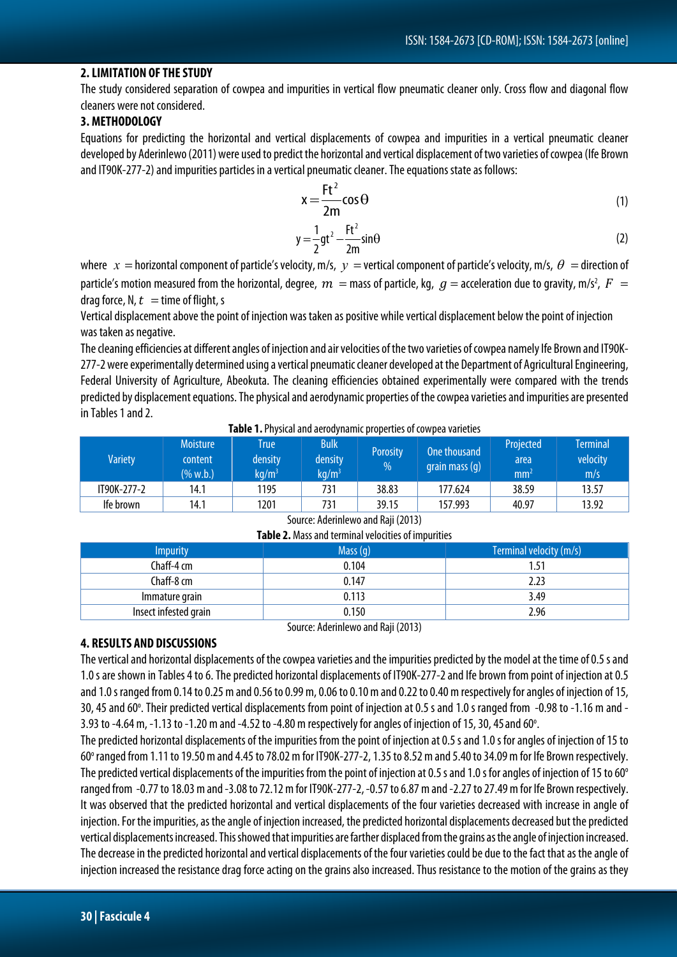#### **2. LIMITATION OF THE STUDY**

The study considered separation of cowpea and impurities in vertical flow pneumatic cleaner only. Cross flow and diagonal flow cleaners were not considered.

#### **3. METHODOLOGY**

Equations for predicting the horizontal and vertical displacements of cowpea and impurities in a vertical pneumatic cleaner developed by Aderinlewo (2011) were used to predict the horizontal and vertical displacement of two varieties of cowpea (Ife Brown and IT90K-277-2) and impurities particles in a vertical pneumatic cleaner. The equations state as follows:

$$
x = \frac{Ft^2}{2m} \cos \theta \tag{1}
$$

$$
y = \frac{1}{2}gt^2 - \frac{Ft^2}{2m}sin\theta
$$
 (2)

where  $x =$  horizontal component of particle's velocity, m/s,  $y =$  vertical component of particle's velocity, m/s,  $\theta =$  direction of particle's motion measured from the horizontal, degree,  $\,m=$  mass of particle, kg,  $\,g=$  acceleration due to gravity, m/s $^2$ ,  $\,F\,=$ drag force, N,  $t =$  time of flight, s

Vertical displacement above the point of injection was taken as positive while vertical displacement below the point of injection was taken as negative.

The cleaning efficiencies at different angles of injection and air velocities of the two varieties of cowpea namely Ife Brown and IT90K-277-2 were experimentally determined using a vertical pneumatic cleaner developed at the Department of Agricultural Engineering, Federal University of Agriculture, Abeokuta. The cleaning efficiencies obtained experimentally were compared with the trends predicted by displacement equations. The physical and aerodynamic properties of the cowpea varieties and impurities are presented in Tables 1 and 2.

|  | Table 1. Physical and aerodynamic properties of cowpea varieties |  |
|--|------------------------------------------------------------------|--|
|--|------------------------------------------------------------------|--|

| Variety     | <b>Moisture</b><br>content<br>$(\% w.b.)$ | <b>True</b><br>density<br>kg/m <sup>3</sup> | <b>Bulk</b><br>density<br>kg/m $^3$ | <b>Porosity</b><br>% | One thousand<br>grain mass (g) | Projected<br>area<br>mm <sup>2</sup> | <b>Terminal</b><br>velocity<br>m/s |
|-------------|-------------------------------------------|---------------------------------------------|-------------------------------------|----------------------|--------------------------------|--------------------------------------|------------------------------------|
| IT90K-277-2 | 14.1                                      | 1195                                        | 731                                 | 38.83                | 177.624                        | 38.59                                | 13.57                              |
| Ife brown   | 14.1                                      | 1201                                        | 731                                 | 39.15                | 157.993                        | 40.97                                | 13.92                              |

| Table 2. Mass and terminal velocities of impurities |            |                         |  |  |  |  |  |
|-----------------------------------------------------|------------|-------------------------|--|--|--|--|--|
| <b>Impurity</b>                                     | Mass $(q)$ | Terminal velocity (m/s) |  |  |  |  |  |
| Chaff-4 cm                                          | 0.104      | 1.51                    |  |  |  |  |  |
| Chaff-8 cm                                          | 0.147      | 2.23                    |  |  |  |  |  |
| Immature grain                                      | 0.113      | 3.49                    |  |  |  |  |  |
| Insect infested grain                               | 0.150      | 2.96                    |  |  |  |  |  |

### Source: Aderinlewo and Raji (2013)

Source: Aderinlewo and Raji (2013)

#### **4. RESULTS AND DISCUSSIONS**

The vertical and horizontal displacements of the cowpea varieties and the impurities predicted by the model at the time of 0.5 s and 1.0 s are shown in Tables 4 to 6. The predicted horizontal displacements of IT90K-277-2 and Ife brown from point of injection at 0.5 and 1.0 s ranged from 0.14 to 0.25 m and 0.56 to 0.99 m, 0.06 to 0.10 m and 0.22 to 0.40 m respectively for angles of injection of 15, 30, 45 and 60°. Their predicted vertical displacements from point of injection at 0.5 s and 1.0 s ranged from -0.98 to -1.16 m and -3.93 to -4.64 m, -1.13 to -1.20 m and -4.52 to -4.80 m respectively for angles of injection of 15, 30, 45 and 60 $^{\circ}$ .

The predicted horizontal displacements of the impurities from the point of injection at 0.5 s and 1.0 s for angles of injection of 15 to 60o ranged from 1.11 to 19.50 m and 4.45 to 78.02 m for IT90K-277-2, 1.35 to 8.52 m and 5.40 to 34.09 m for Ife Brown respectively. The predicted vertical displacements of the impurities from the point of injection at 0.5 s and 1.0 s for angles of injection of 15 to 60° ranged from -0.77 to 18.03 m and -3.08 to 72.12 m for IT90K-277-2, -0.57 to 6.87 m and -2.27 to 27.49 m for Ife Brown respectively. It was observed that the predicted horizontal and vertical displacements of the four varieties decreased with increase in angle of injection. For the impurities, as the angle of injection increased, the predicted horizontal displacements decreased but the predicted vertical displacements increased. This showed that impurities are farther displaced from the grains as the angle of injection increased. The decrease in the predicted horizontal and vertical displacements of the four varieties could be due to the fact that as the angle of injection increased the resistance drag force acting on the grains also increased. Thus resistance to the motion of the grains as they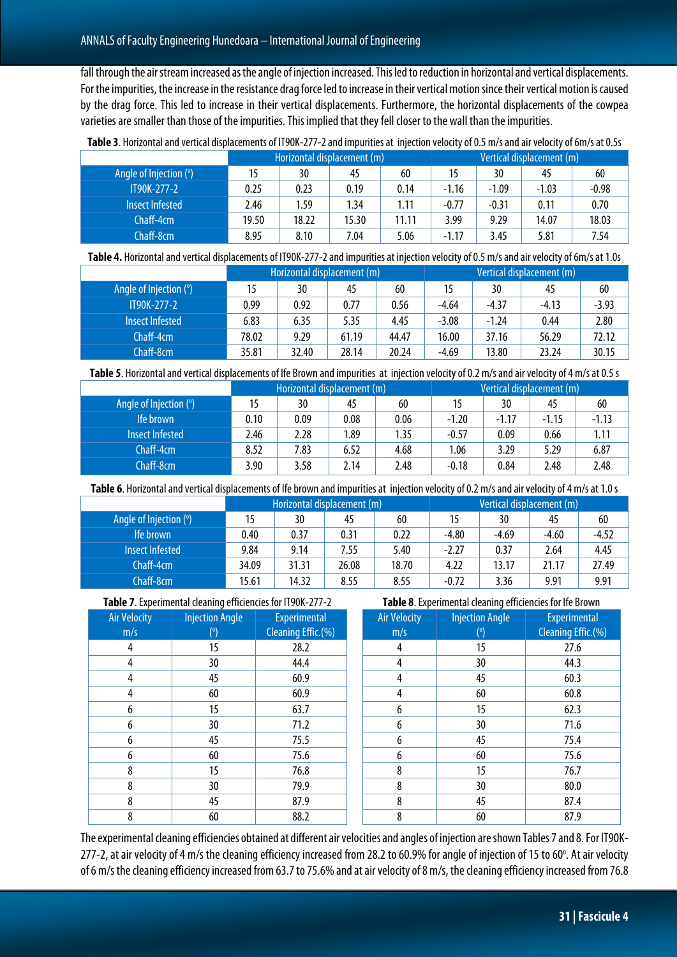fall through the air stream increased as the angle of injection increased. This led to reduction in horizontal and vertical displacements. For the impurities, the increase in the resistance drag force led to increase in their vertical motion since their vertical motion is caused by the drag force. This led to increase in their vertical displacements. Furthermore, the horizontal displacements of the cowpea varieties are smaller than those of the impurities. This implied that they fell closer to the wall than the impurities.

|                        | Horizontal displacement (m) |       |       |       | Vertical displacement (m) |         |         |         |
|------------------------|-----------------------------|-------|-------|-------|---------------------------|---------|---------|---------|
| Angle of Injection (°) | 15                          | 30    | 45    | 60    |                           | 30      | 45      | 60      |
| IT90K-277-2            | 0.25                        | 0.23  | 0.19  | 0.14  | $-1.16$                   | $-1.09$ | $-1.03$ | $-0.98$ |
| Insect Infested        | 2.46                        | 1.59  | 1.34  | 1.11  | $-0.77$                   | $-0.31$ | 0.11    | 0.70    |
| $Chaff-4cm$            | 19.50                       | 18.22 | 15.30 | 11.11 | 3.99                      | 9.29    | 14.07   | 18.03   |
| Chaff-8cm              | 8.95                        | 8.10  | 7.04  | 5.06  | $-1.17$                   | 3.45    | 5.81    | 7.54    |

**Table 3**. Horizontal and vertical displacements of IT90K-277-2 and impurities at injection velocity of 0.5 m/s and air velocity of 6m/s at 0.5s

Table 4. Horizontal and vertical displacements of IT90K-277-2 and impurities at injection velocity of 0.5 m/s and air velocity of 6m/s at 1.0s

|                        | Horizontal displacement (m) |       |       |       | Vertical displacement (m) |         |         |         |
|------------------------|-----------------------------|-------|-------|-------|---------------------------|---------|---------|---------|
| Angle of Injection (°) |                             | 30    | 45    | 60    | 15                        | 30      | 45      | 60      |
| <b>IT90K-277-2</b>     | 0.99                        | 0.92  | 0.77  | 0.56  | $-4.64$                   | $-4.37$ | $-4.13$ | $-3.93$ |
| Insect Infested        | 6.83                        | 6.35  | 5.35  | 4.45  | $-3.08$                   | $-1.24$ | 0.44    | 2.80    |
| Chaff-4cm              | 78.02                       | 9.29  | 61.19 | 44.47 | 16.00                     | 37.16   | 56.29   | 72.12   |
| Chaff-8cm              | 35.81                       | 32.40 | 28.14 | 20.24 | $-4.69$                   | 13.80   | 23.24   | 30.15   |

Table 5. Horizontal and vertical displacements of Ife Brown and impurities at injection velocity of 0.2 m/s and air velocity of 4 m/s at 0.5 s

|                        |      | Horizontal displacement (m) |      |      |         | Vertical displacement (m) |         |         |
|------------------------|------|-----------------------------|------|------|---------|---------------------------|---------|---------|
| Angle of Injection (°) | 15   | 30                          | 45   | 60   | 15      | 30                        | 45      | 60      |
| Ife brown              | 0.10 | 0.09                        | 0.08 | 0.06 | $-1.20$ | $-1.17$                   | $-1.15$ | $-1.13$ |
| Insect Infested        | 2.46 | 2.28                        | 1.89 | 1.35 | $-0.57$ | 0.09                      | 0.66    | 1.11    |
| Chaff-4cm              | 8.52 | 7.83                        | 6.52 | 4.68 | 1.06    | 3.29                      | 5.29    | 6.87    |
| Chaff-8cm              | 3.90 | 3.58                        | 2.14 | 2.48 | $-0.18$ | 0.84                      | 2.48    | 2.48    |

Table 6. Horizontal and vertical displacements of Ife brown and impurities at injection velocity of 0.2 m/s and air velocity of 4 m/s at 1.0 s

|                        |       | Horizontal displacement (m) |       |       | Vertical displacement (m) |         |         |         |
|------------------------|-------|-----------------------------|-------|-------|---------------------------|---------|---------|---------|
| Angle of Injection (°) |       | 30                          | 45    | 60    |                           | 30      | 45      | 60      |
| Ife brown              | 0.40  | 0.37                        | 0.31  | 0.22  | $-4.80$                   | $-4.69$ | $-4.60$ | $-4.52$ |
| Insect Infested        | 9.84  | 9.14                        | 7.55  | 5.40  | $-2.27$                   | 0.37    | 2.64    | 4.45    |
| Chaff-4cm              | 34.09 | 31.31                       | 26.08 | 18.70 | 4.22                      | 13.17   | 21.17   | 27.49   |
| Chaff-8cm              | 15.61 | 14.32                       | 8.55  | 8.55  | $-0.72$                   | 3.36    | 9.91    | 9.91    |

**Experimental** Cleaning Effic.(%)

**Table 7**. Experimental cleaning efficiencies for IT90K-277-2 Injection Angle

 $(^\circ)$ 

Air Velocity m/s

**Table 8**. Experimental cleaning efficiencies for Ife Brown

| <b>Air Velocity</b> | <b>Injection Angle</b> | <b>Experimental</b> |
|---------------------|------------------------|---------------------|
| m/s                 | $(^\circ)$             | Cleaning Effic.(%)  |
| 4                   | 15                     | 27.6                |
| 4                   | 30                     | 44.3                |
| 4                   | 45                     | 60.3                |
| 4                   | 60                     | 60.8                |
| 6                   | 15                     | 62.3                |
| 6                   | 30                     | 71.6                |
| 6                   | 45                     | 75.4                |
| 6                   | 60                     | 75.6                |
| 8                   | 15                     | 76.7                |
| 8                   | 30                     | 80.0                |
| 8                   | 45                     | 87.4                |
| 8                   | 60                     | 87.9                |

The experimental cleaning efficiencies obtained at different air velocities and angles of injection are shown Tables 7 and 8.For IT90K-277-2, at air velocity of 4 m/s the cleaning efficiency increased from 28.2 to 60.9% for angle of injection of 15 to 60°. At air velocity of 6 m/s the cleaning efficiency increased from 63.7 to 75.6% and at air velocity of 8 m/s, the cleaning efficiency increased from 76.8